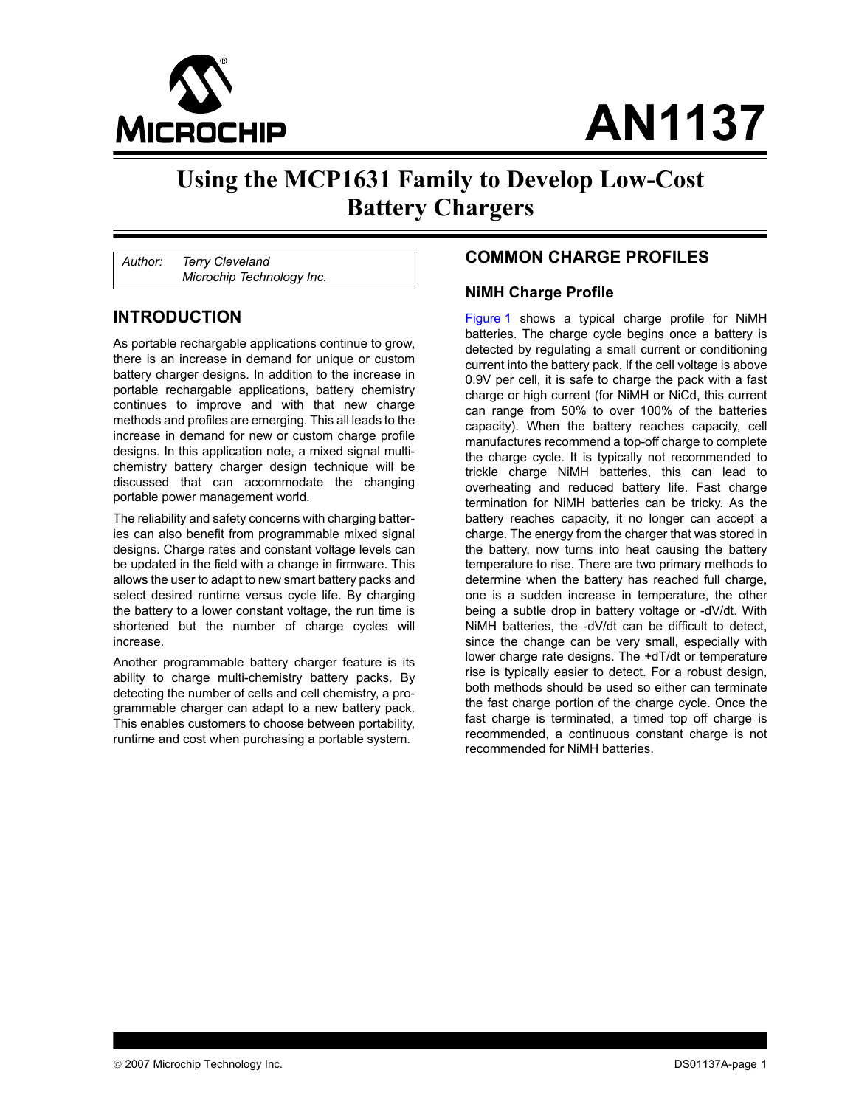

# **AN1137**

# **Using the MCP1631 Family to Develop Low-Cost Battery Chargers**

*Author: Terry Cleveland Microchip Technology Inc.*

#### **INTRODUCTION**

As portable rechargable applications continue to grow, there is an increase in demand for unique or custom battery charger designs. In addition to the increase in portable rechargable applications, battery chemistry continues to improve and with that new charge methods and profiles are emerging. This all leads to the increase in demand for new or custom charge profile designs. In this application note, a mixed signal multichemistry battery charger design technique will be discussed that can accommodate the changing portable power management world.

The reliability and safety concerns with charging batteries can also benefit from programmable mixed signal designs. Charge rates and constant voltage levels can be updated in the field with a change in firmware. This allows the user to adapt to new smart battery packs and select desired runtime versus cycle life. By charging the battery to a lower constant voltage, the run time is shortened but the number of charge cycles will increase.

Another programmable battery charger feature is its ability to charge multi-chemistry battery packs. By detecting the number of cells and cell chemistry, a programmable charger can adapt to a new battery pack. This enables customers to choose between portability, runtime and cost when purchasing a portable system.

#### **COMMON CHARGE PROFILES**

#### **NiMH Charge Profile**

[Figure 1](#page-1-0) shows a typical charge profile for NiMH batteries. The charge cycle begins once a battery is detected by regulating a small current or conditioning current into the battery pack. If the cell voltage is above 0.9V per cell, it is safe to charge the pack with a fast charge or high current (for NiMH or NiCd, this current can range from 50% to over 100% of the batteries capacity). When the battery reaches capacity, cell manufactures recommend a top-off charge to complete the charge cycle. It is typically not recommended to trickle charge NiMH batteries, this can lead to overheating and reduced battery life. Fast charge termination for NiMH batteries can be tricky. As the battery reaches capacity, it no longer can accept a charge. The energy from the charger that was stored in the battery, now turns into heat causing the battery temperature to rise. There are two primary methods to determine when the battery has reached full charge, one is a sudden increase in temperature, the other being a subtle drop in battery voltage or -dV/dt. With NiMH batteries, the -dV/dt can be difficult to detect, since the change can be very small, especially with lower charge rate designs. The +dT/dt or temperature rise is typically easier to detect. For a robust design, both methods should be used so either can terminate the fast charge portion of the charge cycle. Once the fast charge is terminated, a timed top off charge is recommended, a continuous constant charge is not recommended for NiMH batteries.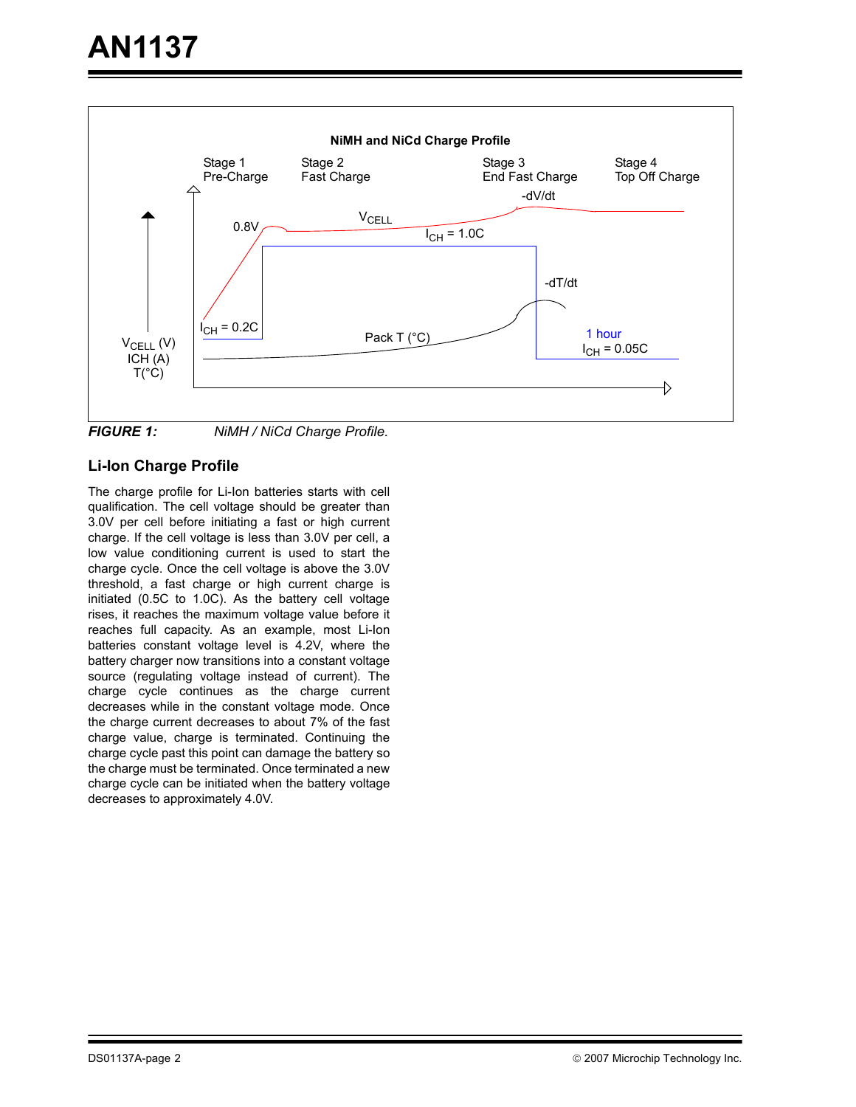

<span id="page-1-0"></span>*FIGURE 1: NiMH / NiCd Charge Profile.*

#### **Li-Ion Charge Profile**

The charge profile for Li-Ion batteries starts with cell qualification. The cell voltage should be greater than 3.0V per cell before initiating a fast or high current charge. If the cell voltage is less than 3.0V per cell, a low value conditioning current is used to start the charge cycle. Once the cell voltage is above the 3.0V threshold, a fast charge or high current charge is initiated (0.5C to 1.0C). As the battery cell voltage rises, it reaches the maximum voltage value before it reaches full capacity. As an example, most Li-Ion batteries constant voltage level is 4.2V, where the battery charger now transitions into a constant voltage source (regulating voltage instead of current). The charge cycle continues as the charge current decreases while in the constant voltage mode. Once the charge current decreases to about 7% of the fast charge value, charge is terminated. Continuing the charge cycle past this point can damage the battery so the charge must be terminated. Once terminated a new charge cycle can be initiated when the battery voltage decreases to approximately 4.0V.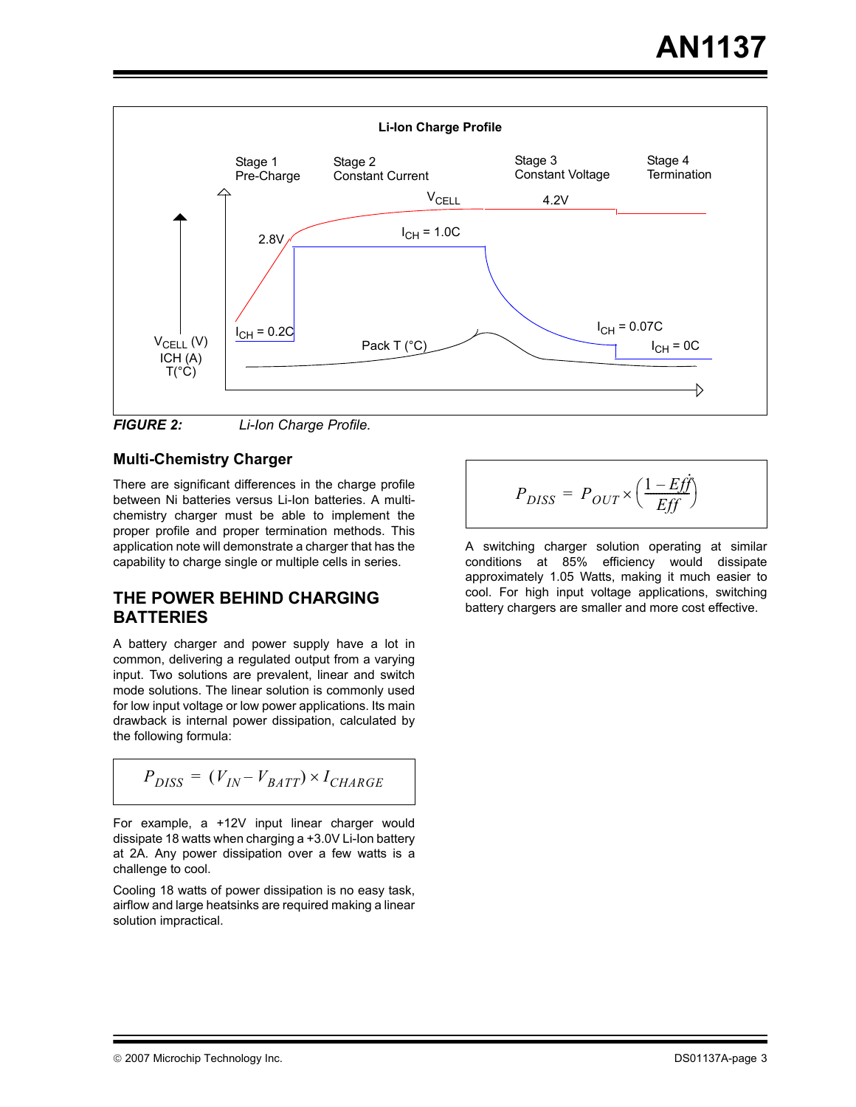



#### **Multi-Chemistry Charger**

There are significant differences in the charge profile between Ni batteries versus Li-Ion batteries. A multichemistry charger must be able to implement the proper profile and proper termination methods. This application note will demonstrate a charger that has the capability to charge single or multiple cells in series.

#### **THE POWER BEHIND CHARGING BATTERIES**

A battery charger and power supply have a lot in common, delivering a regulated output from a varying input. Two solutions are prevalent, linear and switch mode solutions. The linear solution is commonly used for low input voltage or low power applications. Its main drawback is internal power dissipation, calculated by the following formula:

$$
P_{DISS} = (V_{IN} - V_{BATT}) \times I_{CHARGE}
$$

For example, a +12V input linear charger would dissipate 18 watts when charging a +3.0V Li-Ion battery at 2A. Any power dissipation over a few watts is a challenge to cool.

Cooling 18 watts of power dissipation is no easy task, airflow and large heatsinks are required making a linear solution impractical.

$$
P_{DISS} = P_{OUT} \times \left(\frac{1 - E f \dot{f}}{E f f}\right)
$$

A switching charger solution operating at similar conditions at 85% efficiency would dissipate approximately 1.05 Watts, making it much easier to cool. For high input voltage applications, switching battery chargers are smaller and more cost effective.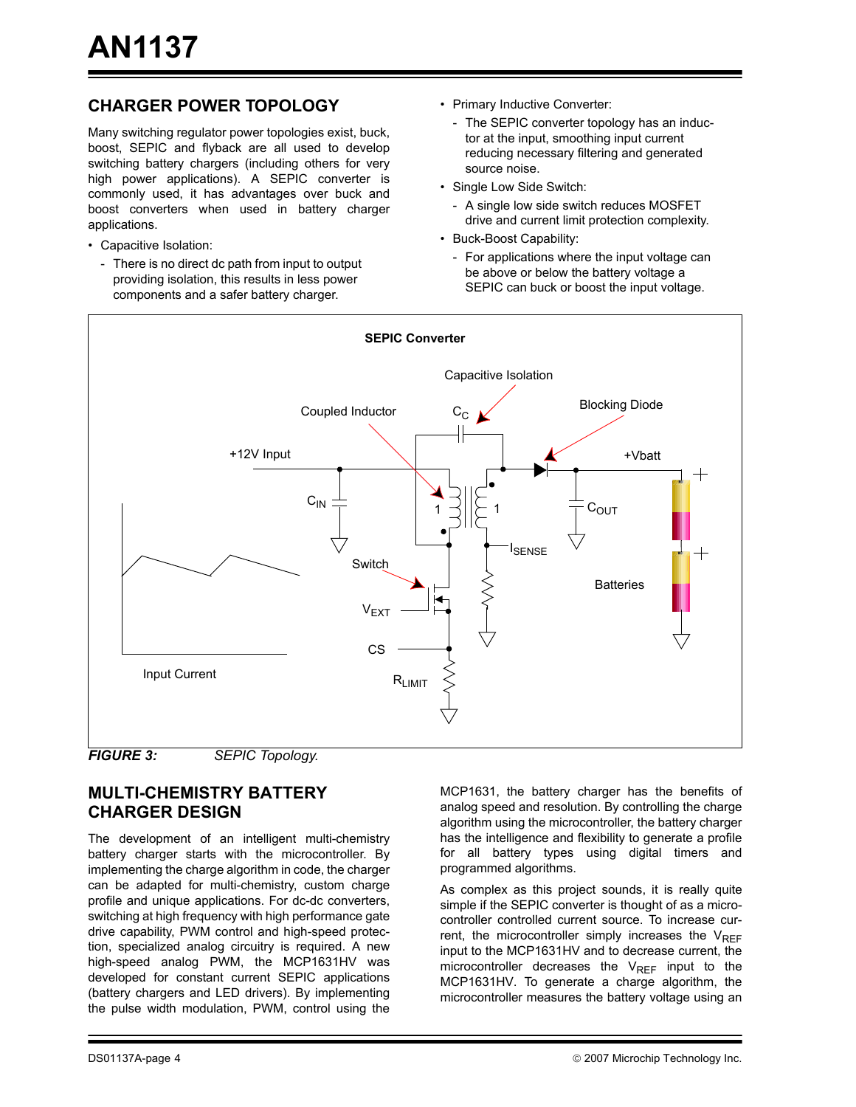## **CHARGER POWER TOPOLOGY**

Many switching regulator power topologies exist, buck, boost, SEPIC and flyback are all used to develop switching battery chargers (including others for very high power applications). A SEPIC converter is commonly used, it has advantages over buck and boost converters when used in battery charger applications.

- Capacitive Isolation:
	- There is no direct dc path from input to output providing isolation, this results in less power components and a safer battery charger.
- Primary Inductive Converter:
	- The SEPIC converter topology has an inductor at the input, smoothing input current reducing necessary filtering and generated source noise.
- Single Low Side Switch:
	- A single low side switch reduces MOSFET drive and current limit protection complexity.
- Buck-Boost Capability:
	- For applications where the input voltage can be above or below the battery voltage a SEPIC can buck or boost the input voltage.





## **MULTI-CHEMISTRY BATTERY CHARGER DESIGN**

The development of an intelligent multi-chemistry battery charger starts with the microcontroller. By implementing the charge algorithm in code, the charger can be adapted for multi-chemistry, custom charge profile and unique applications. For dc-dc converters, switching at high frequency with high performance gate drive capability, PWM control and high-speed protection, specialized analog circuitry is required. A new high-speed analog PWM, the MCP1631HV was developed for constant current SEPIC applications (battery chargers and LED drivers). By implementing the pulse width modulation, PWM, control using the

MCP1631, the battery charger has the benefits of analog speed and resolution. By controlling the charge algorithm using the microcontroller, the battery charger has the intelligence and flexibility to generate a profile for all battery types using digital timers and programmed algorithms.

As complex as this project sounds, it is really quite simple if the SEPIC converter is thought of as a microcontroller controlled current source. To increase current, the microcontroller simply increases the  $V_{REF}$ input to the MCP1631HV and to decrease current, the microcontroller decreases the  $V_{REF}$  input to the MCP1631HV. To generate a charge algorithm, the microcontroller measures the battery voltage using an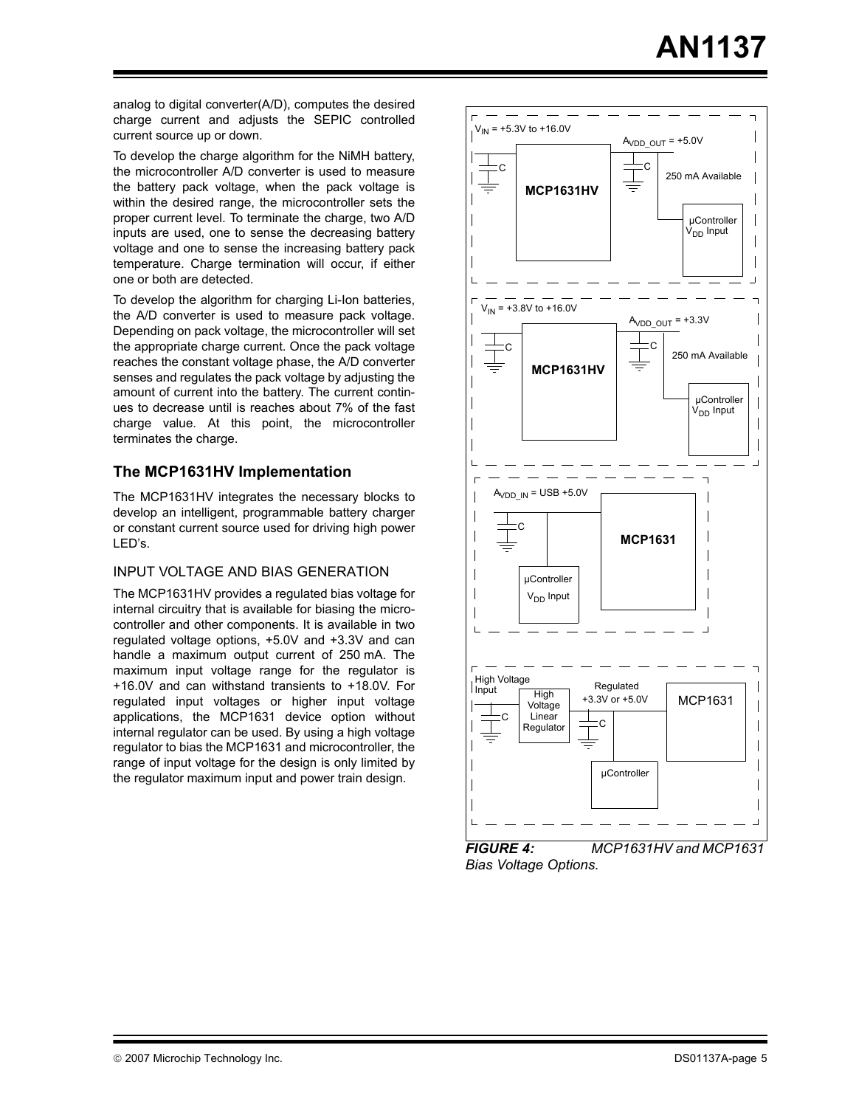analog to digital converter(A/D), computes the desired charge current and adjusts the SEPIC controlled current source up or down.

To develop the charge algorithm for the NiMH battery, the microcontroller A/D converter is used to measure the battery pack voltage, when the pack voltage is within the desired range, the microcontroller sets the proper current level. To terminate the charge, two A/D inputs are used, one to sense the decreasing battery voltage and one to sense the increasing battery pack temperature. Charge termination will occur, if either one or both are detected.

To develop the algorithm for charging Li-Ion batteries, the A/D converter is used to measure pack voltage. Depending on pack voltage, the microcontroller will set the appropriate charge current. Once the pack voltage reaches the constant voltage phase, the A/D converter senses and regulates the pack voltage by adjusting the amount of current into the battery. The current continues to decrease until is reaches about 7% of the fast charge value. At this point, the microcontroller terminates the charge.

#### **The MCP1631HV Implementation**

The MCP1631HV integrates the necessary blocks to develop an intelligent, programmable battery charger or constant current source used for driving high power LED's.

#### INPUT VOLTAGE AND BIAS GENERATION

The MCP1631HV provides a regulated bias voltage for internal circuitry that is available for biasing the microcontroller and other components. It is available in two regulated voltage options, +5.0V and +3.3V and can handle a maximum output current of 250 mA. The maximum input voltage range for the regulator is +16.0V and can withstand transients to +18.0V. For regulated input voltages or higher input voltage applications, the MCP1631 device option without internal regulator can be used. By using a high voltage regulator to bias the MCP1631 and microcontroller, the range of input voltage for the design is only limited by the regulator maximum input and power train design.



*FIGURE 4: MCP1631HV and MCP1631 Bias Voltage Options.*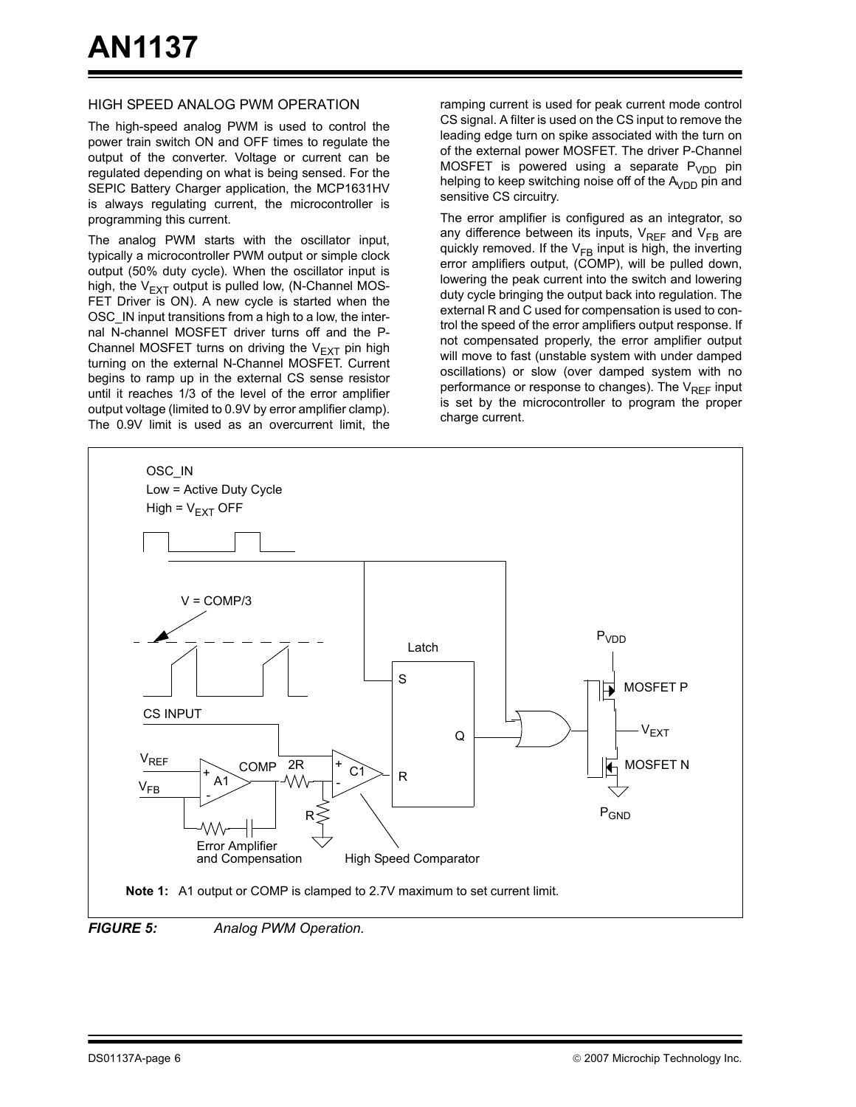#### HIGH SPEED ANALOG PWM OPERATION

The high-speed analog PWM is used to control the power train switch ON and OFF times to regulate the output of the converter. Voltage or current can be regulated depending on what is being sensed. For the SEPIC Battery Charger application, the MCP1631HV is always regulating current, the microcontroller is programming this current.

The analog PWM starts with the oscillator input, typically a microcontroller PWM output or simple clock output (50% duty cycle). When the oscillator input is high, the  $V_{FXT}$  output is pulled low, (N-Channel MOS-FET Driver is ON). A new cycle is started when the OSC\_IN input transitions from a high to a low, the internal N-channel MOSFET driver turns off and the P-Channel MOSFET turns on driving the  $V_{EXT}$  pin high turning on the external N-Channel MOSFET. Current begins to ramp up in the external CS sense resistor until it reaches 1/3 of the level of the error amplifier output voltage (limited to 0.9V by error amplifier clamp). The 0.9V limit is used as an overcurrent limit, the ramping current is used for peak current mode control CS signal. A filter is used on the CS input to remove the leading edge turn on spike associated with the turn on of the external power MOSFET. The driver P-Channel MOSFET is powered using a separate  $P_{VDD}$  pin helping to keep switching noise off of the  $A<sub>VDD</sub>$  pin and sensitive CS circuitry.

The error amplifier is configured as an integrator, so any difference between its inputs,  $V_{REF}$  and  $V_{FB}$  are quickly removed. If the  $V_{FB}$  input is high, the inverting error amplifiers output, (COMP), will be pulled down, lowering the peak current into the switch and lowering duty cycle bringing the output back into regulation. The external R and C used for compensation is used to control the speed of the error amplifiers output response. If not compensated properly, the error amplifier output will move to fast (unstable system with under damped oscillations) or slow (over damped system with no performance or response to changes). The  $V_{RFF}$  input is set by the microcontroller to program the proper charge current.



*FIGURE 5: Analog PWM Operation.*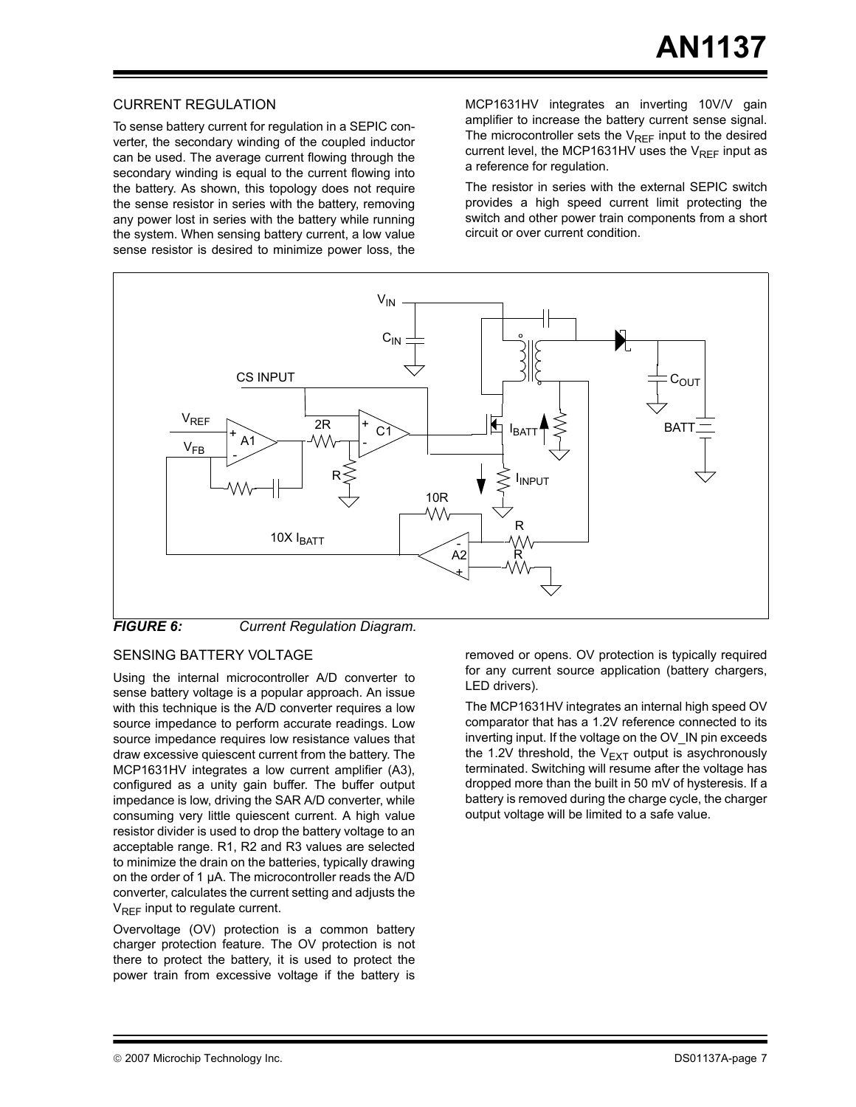#### CURRENT REGULATION

To sense battery current for regulation in a SEPIC converter, the secondary winding of the coupled inductor can be used. The average current flowing through the secondary winding is equal to the current flowing into the battery. As shown, this topology does not require the sense resistor in series with the battery, removing any power lost in series with the battery while running the system. When sensing battery current, a low value sense resistor is desired to minimize power loss, the MCP1631HV integrates an inverting 10V/V gain amplifier to increase the battery current sense signal. The microcontroller sets the  $V_{RFF}$  input to the desired current level, the MCP1631HV uses the  $V_{RFF}$  input as a reference for regulation.

The resistor in series with the external SEPIC switch provides a high speed current limit protecting the switch and other power train components from a short circuit or over current condition.



*FIGURE 6: Current Regulation Diagram.*

#### SENSING BATTERY VOLTAGE

Using the internal microcontroller A/D converter to sense battery voltage is a popular approach. An issue with this technique is the A/D converter requires a low source impedance to perform accurate readings. Low source impedance requires low resistance values that draw excessive quiescent current from the battery. The MCP1631HV integrates a low current amplifier (A3), configured as a unity gain buffer. The buffer output impedance is low, driving the SAR A/D converter, while consuming very little quiescent current. A high value resistor divider is used to drop the battery voltage to an acceptable range. R1, R2 and R3 values are selected to minimize the drain on the batteries, typically drawing on the order of 1 µA. The microcontroller reads the A/D converter, calculates the current setting and adjusts the  $V_{REF}$  input to regulate current.

Overvoltage (OV) protection is a common battery charger protection feature. The OV protection is not there to protect the battery, it is used to protect the power train from excessive voltage if the battery is

removed or opens. OV protection is typically required for any current source application (battery chargers, LED drivers).

The MCP1631HV integrates an internal high speed OV comparator that has a 1.2V reference connected to its inverting input. If the voltage on the OV\_IN pin exceeds the 1.2V threshold, the  $V_{EXT}$  output is asychronously terminated. Switching will resume after the voltage has dropped more than the built in 50 mV of hysteresis. If a battery is removed during the charge cycle, the charger output voltage will be limited to a safe value.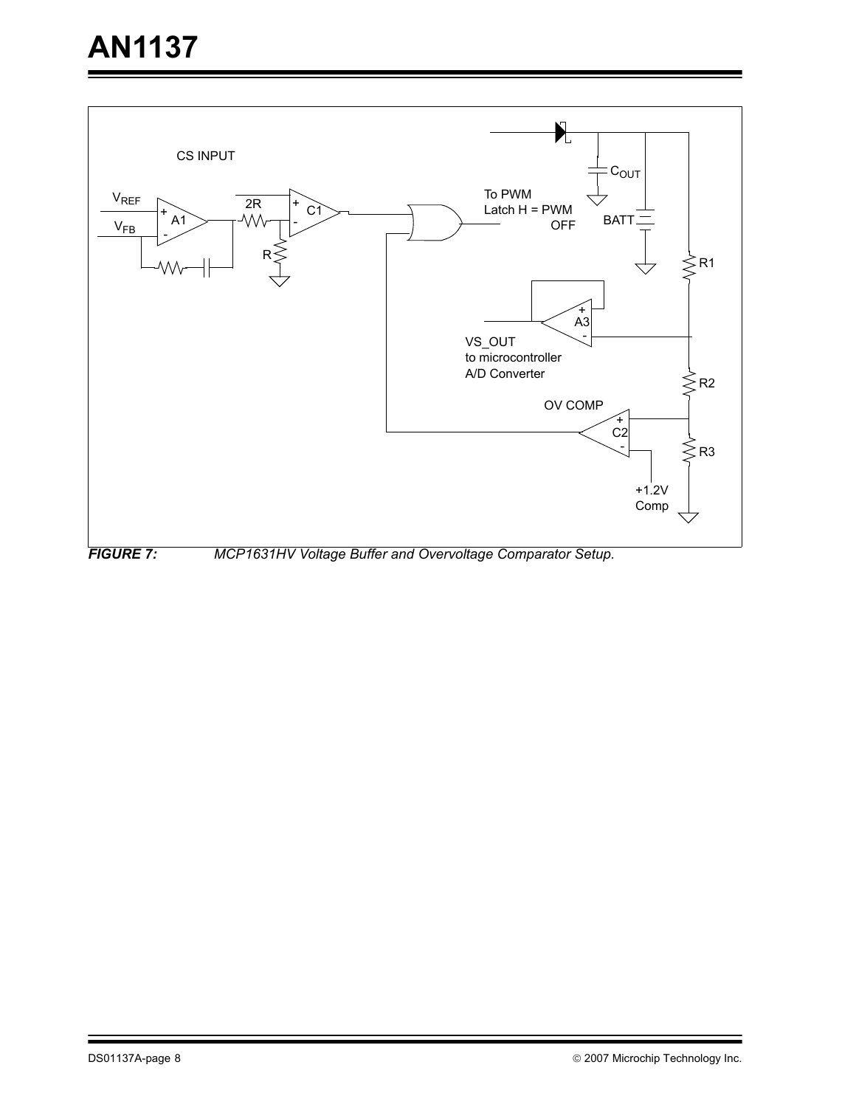<span id="page-7-0"></span>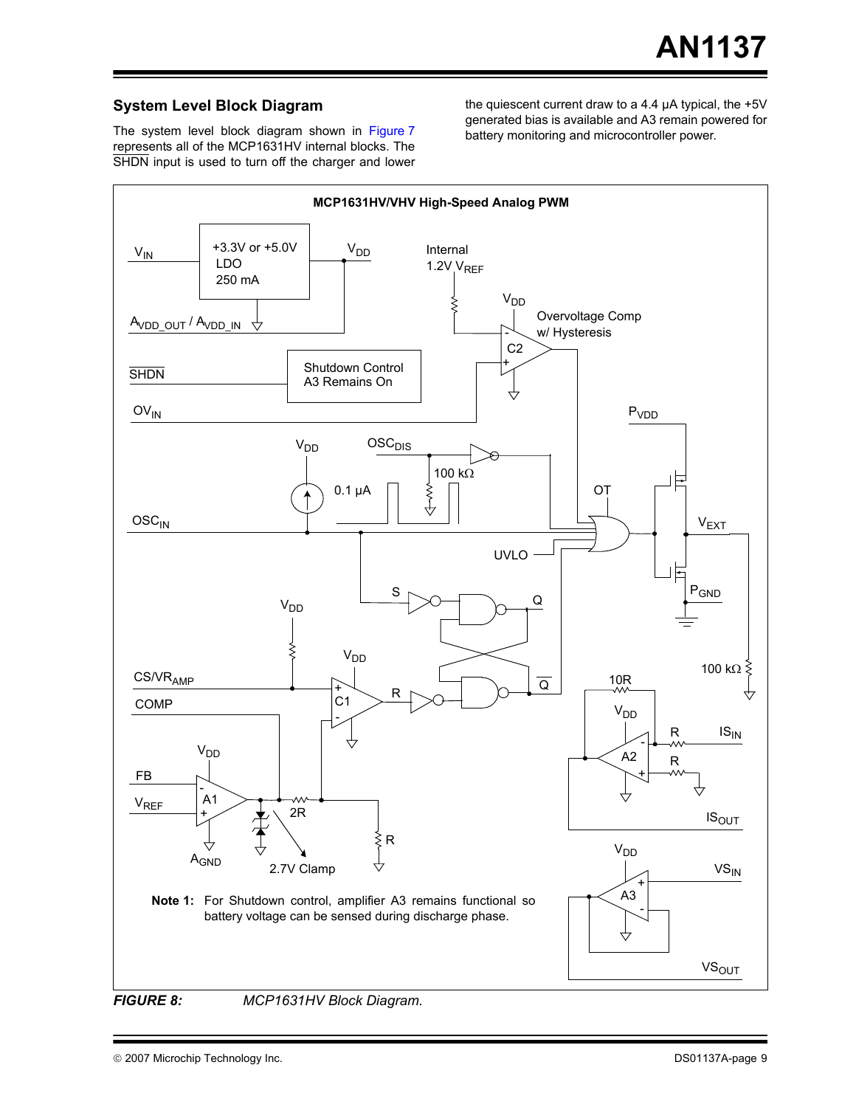#### **System Level Block Diagram**

The system level block diagram shown in [Figure 7](#page-7-0) represents all of the MCP1631HV internal blocks. The SHDN input is used to turn off the charger and lower the quiescent current draw to a 4.4 µA typical, the +5V generated bias is available and A3 remain powered for battery monitoring and microcontroller power.

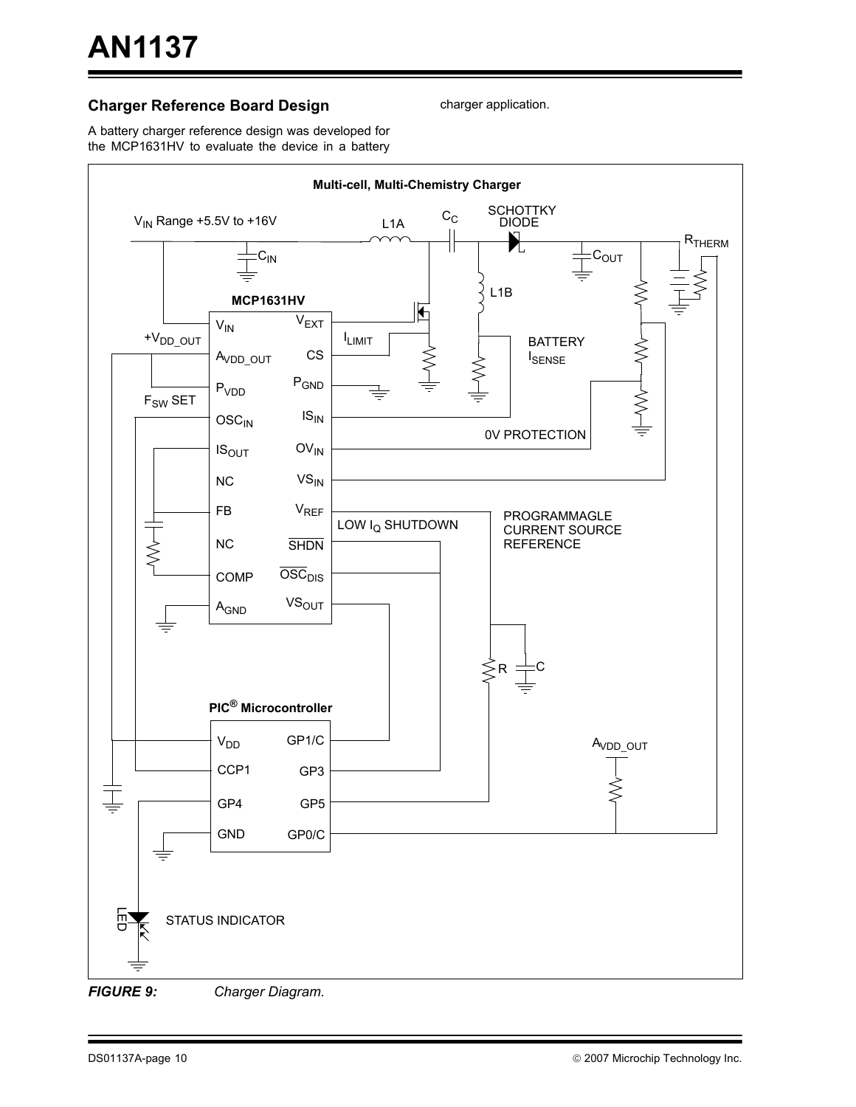#### **Charger Reference Board Design**

charger application.

A battery charger reference design was developed for the MCP1631HV to evaluate the device in a battery



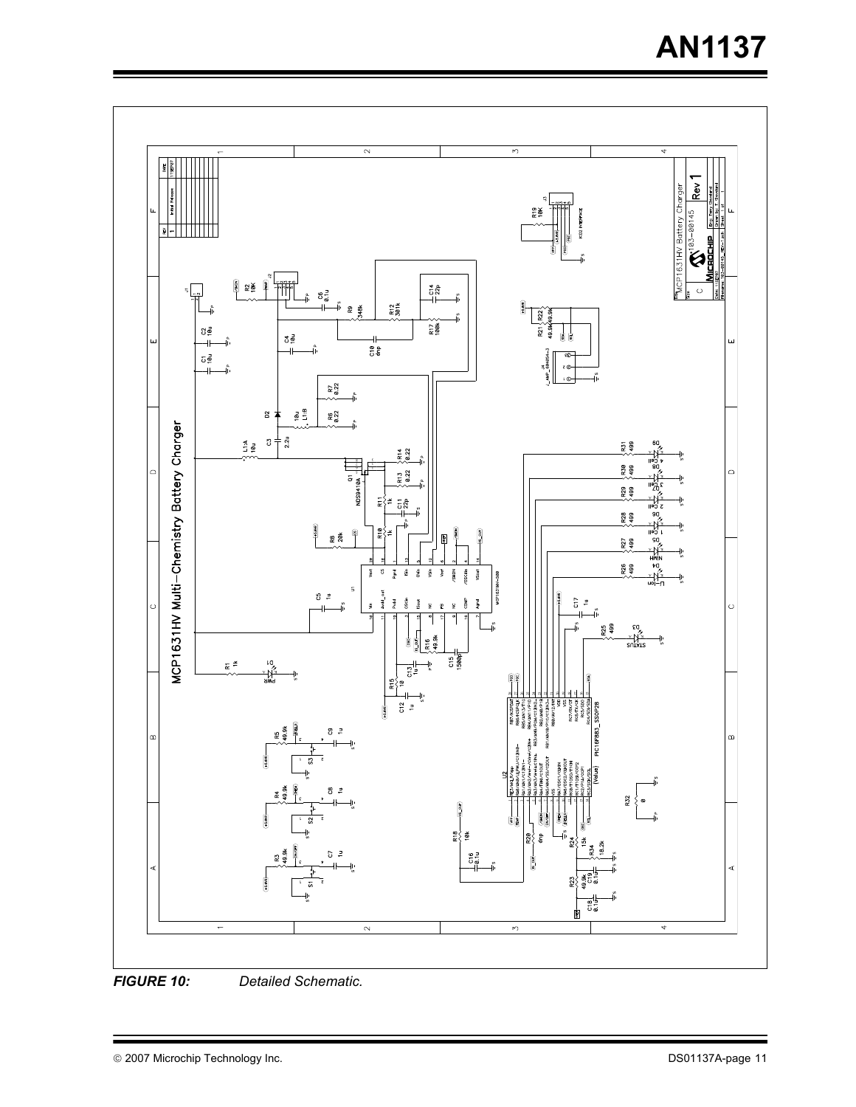# **AN1137**

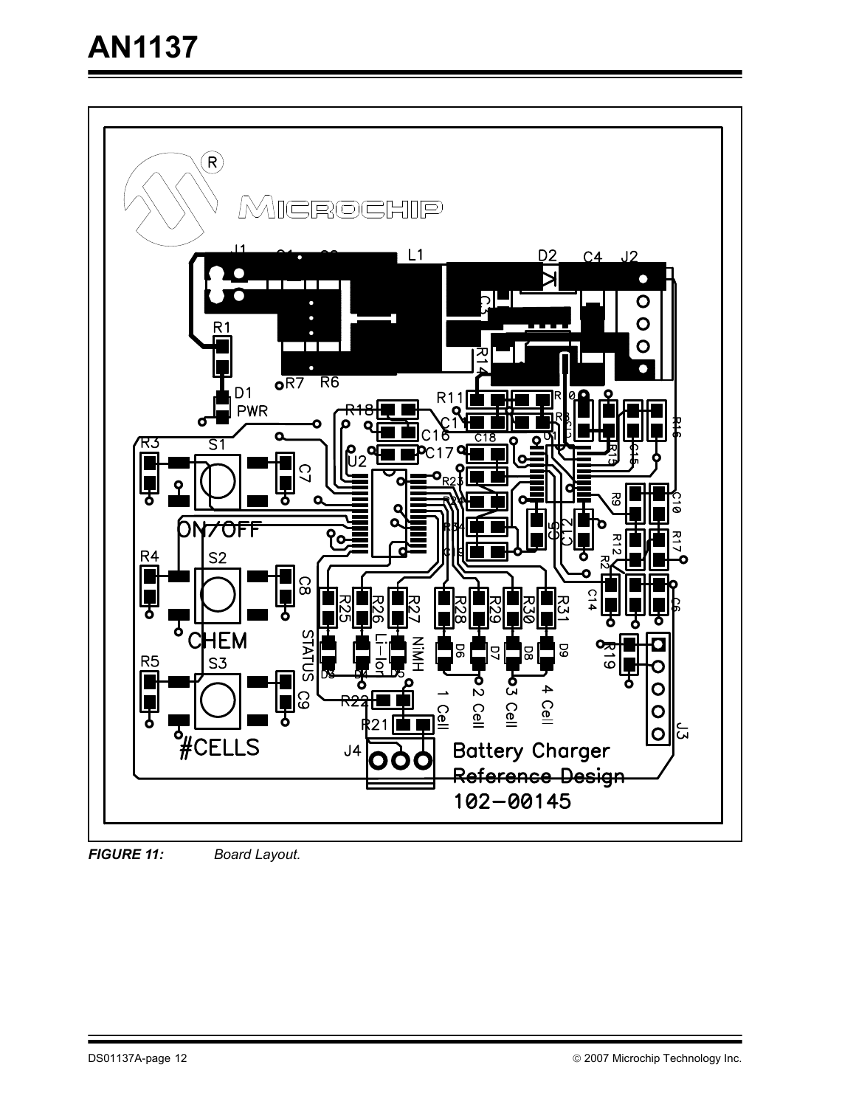

*FIGURE 11: Board Layout.*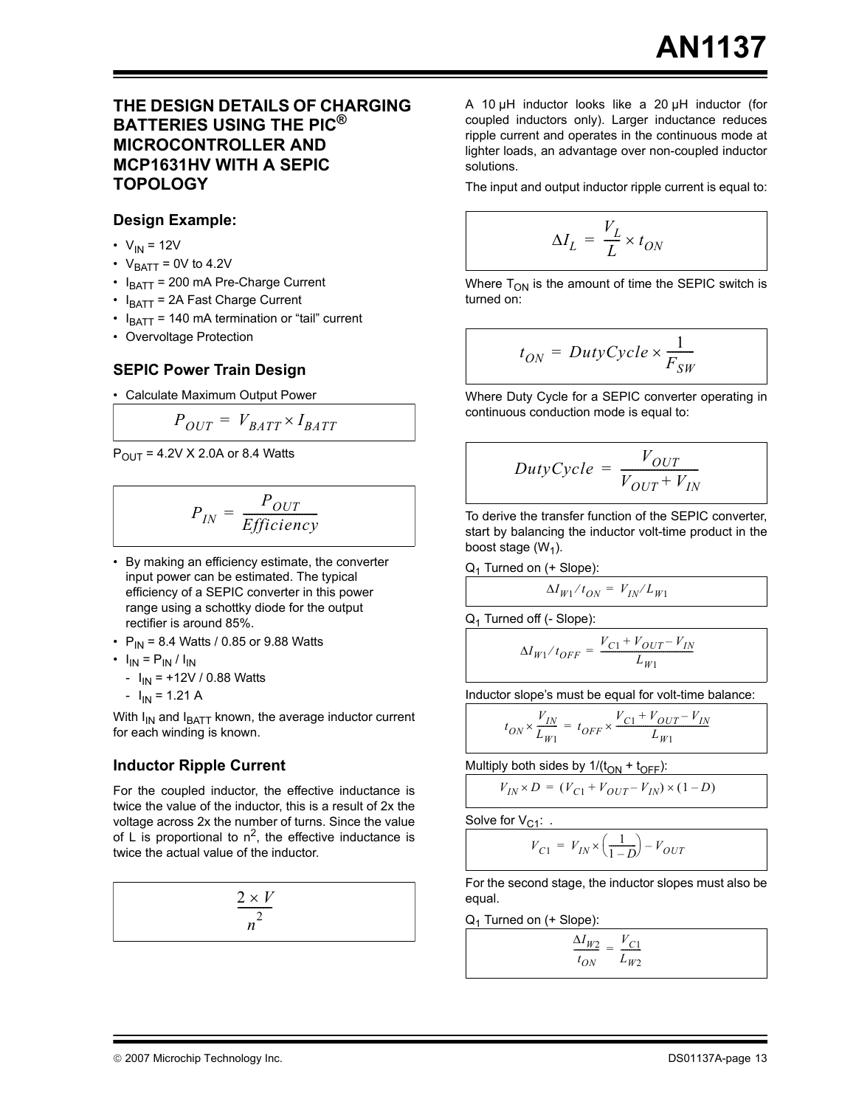#### **THE DESIGN DETAILS OF CHARGING BATTERIES USING THE PIC® MICROCONTROLLER AND MCP1631HV WITH A SEPIC TOPOLOGY**

#### **Design Example:**

- $V_{IN}$  = 12V
- $V_{BATT} = 0V$  to 4.2V
- $\cdot$  I<sub>BATT</sub> = 200 mA Pre-Charge Current
- $I_{\text{BAT}}$  = 2A Fast Charge Current
- $I_{\text{BATT}}$  = 140 mA termination or "tail" current
- Overvoltage Protection

#### **SEPIC Power Train Design**

• Calculate Maximum Output Power

$$
P_{OUT} = V_{BATT} \times I_{BATT}
$$

 $P_{\text{OUT}} = 4.2V \times 2.0A$  or 8.4 Watts

$$
P_{IN} = \frac{P_{OUT}}{Efficiency}
$$

- By making an efficiency estimate, the converter input power can be estimated. The typical efficiency of a SEPIC converter in this power range using a schottky diode for the output rectifier is around 85%.
- $P_{IN}$  = 8.4 Watts / 0.85 or 9.88 Watts
- $I_{IN} = P_{IN} / I_{IN}$ 
	- $I_{IN}$  = +12V / 0.88 Watts
	- $-I_{IN} = 1.21 A$

With  $I_{IN}$  and  $I_{BATT}$  known, the average inductor current for each winding is known.

#### **Inductor Ripple Current**

For the coupled inductor, the effective inductance is twice the value of the inductor, this is a result of 2x the voltage across 2x the number of turns. Since the value of L is proportional to  $n^2$ , the effective inductance is twice the actual value of the inductor.

$$
\frac{2 \times V}{n^2}
$$

A 10 µH inductor looks like a 20 µH inductor (for coupled inductors only). Larger inductance reduces ripple current and operates in the continuous mode at lighter loads, an advantage over non-coupled inductor solutions.

The input and output inductor ripple current is equal to:

$$
\Delta I_L = \frac{V_L}{L} \times t_{ON}
$$

Where  $T_{ON}$  is the amount of time the SEPIC switch is turned on:

$$
t_{ON} = DutyCycle \times \frac{1}{F_{SW}}
$$

Where Duty Cycle for a SEPIC converter operating in continuous conduction mode is equal to:

$$
DutyCycle = \frac{V_{OUT}}{V_{OUT} + V_{IN}}
$$

To derive the transfer function of the SEPIC converter, start by balancing the inductor volt-time product in the boost stage  $(W_1)$ .

 $Q_1$  Turned on (+ Slope):

$$
\Delta I_{W1}/t_{ON} = V_{IN}/L_{W1}
$$

Q1 Turned off (- Slope):

$$
\Delta I_{W1}/t_{OFF}=\frac{V_{C1}+V_{OUT}-V_{IN}}{L_{W1}}
$$

Inductor slope's must be equal for volt-time balance:

$$
t_{ON}\times\frac{V_{IN}}{L_{W1}}\,=\,t_{OFF}\times\frac{V_{C1}+V_{OUT}-V_{IN}}{L_{W1}}
$$

Multiply both sides by  $1/(t_{ON} + t_{OFF})$ :

$$
V_{IN} \times D = (V_{C1} + V_{OUT} - V_{IN}) \times (1 - D)
$$

Solve for  $V_{C1}$ : .

$$
V_{C1} = V_{IN} \times \left(\frac{1}{1-D}\right) - V_{OUT}
$$

For the second stage, the inductor slopes must also be equal.

 $Q_1$  Turned on (+ Slope):

$$
\frac{\Delta I_{W2}}{t_{ON}} = \frac{V_{C1}}{L_{W2}}
$$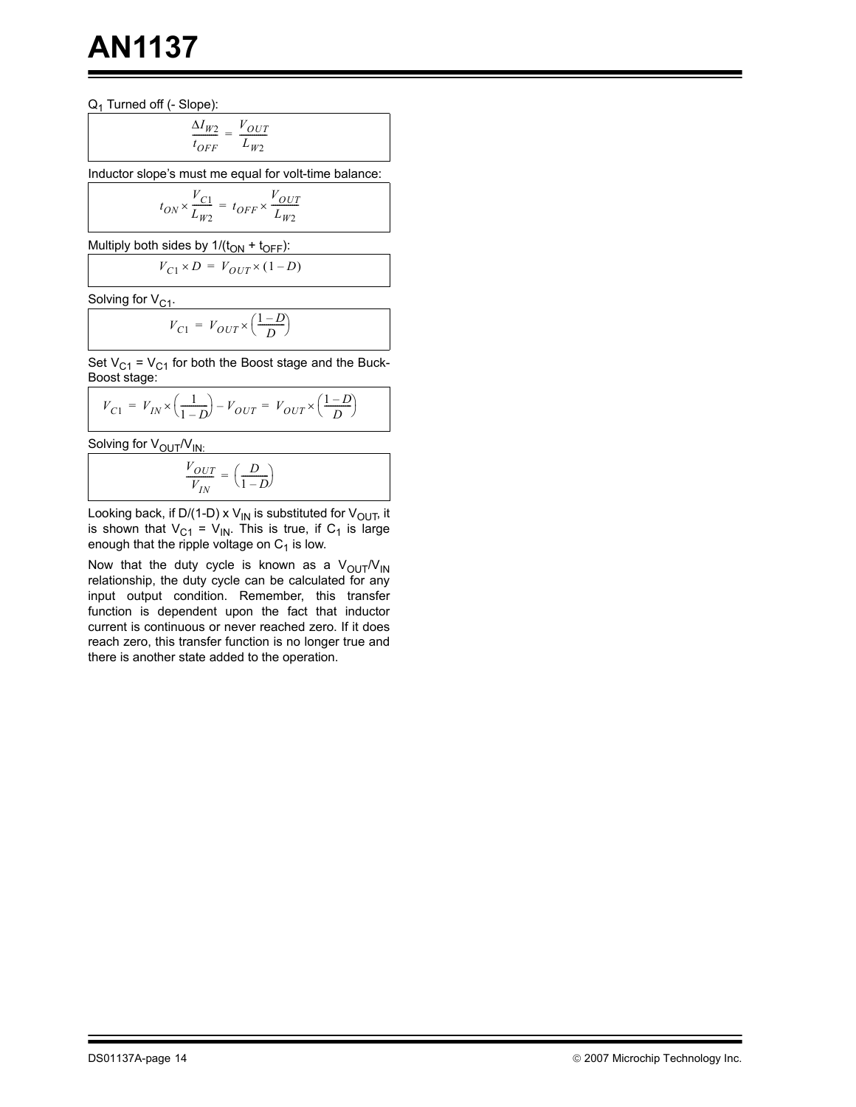$Q_1$  Turned off (- Slope):

$$
\frac{\Delta I_{W2}}{t_{OFF}} = \frac{V_{OUT}}{L_{W2}}
$$

Inductor slope's must me equal for volt-time balance:

$$
t_{ON}\times \frac{V_{C1}}{L_{W2}}\,=\,t_{OFF}\times \frac{V_{OUT}}{L_{W2}}
$$

Multiply both sides by  $1/(t_{ON} + t_{OFF})$ :

$$
V_{C1} \times D = V_{OUT} \times (1 - D)
$$

Solving for  $V_{C1}$ .

$$
V_{C1} = V_{OUT} \times \left(\frac{1-D}{D}\right)
$$

Set  $V_{C1}$  =  $V_{C1}$  for both the Boost stage and the Buck-Boost stage:

$$
V_{C1} = V_{IN} \times \left(\frac{1}{1-D}\right) - V_{OUT} = V_{OUT} \times \left(\frac{1-D}{D}\right)
$$

Solving for  $V_{\text{OUT}}/V_{\text{IN}}$ :

$$
\frac{V_{OUT}}{V_{IN}} = \left(\frac{D}{1-D}\right)
$$

Looking back, if D/(1-D) x V<sub>IN</sub> is substituted for V<sub>OUT</sub>, it is shown that  $V_{C1}$  =  $V_{IN}$ . This is true, if  $C_1$  is large enough that the ripple voltage on  $C_1$  is low.

Now that the duty cycle is known as a  $V_{\text{OUT}}/V_{\text{IN}}$ relationship, the duty cycle can be calculated for any input output condition. Remember, this transfer function is dependent upon the fact that inductor current is continuous or never reached zero. If it does reach zero, this transfer function is no longer true and there is another state added to the operation.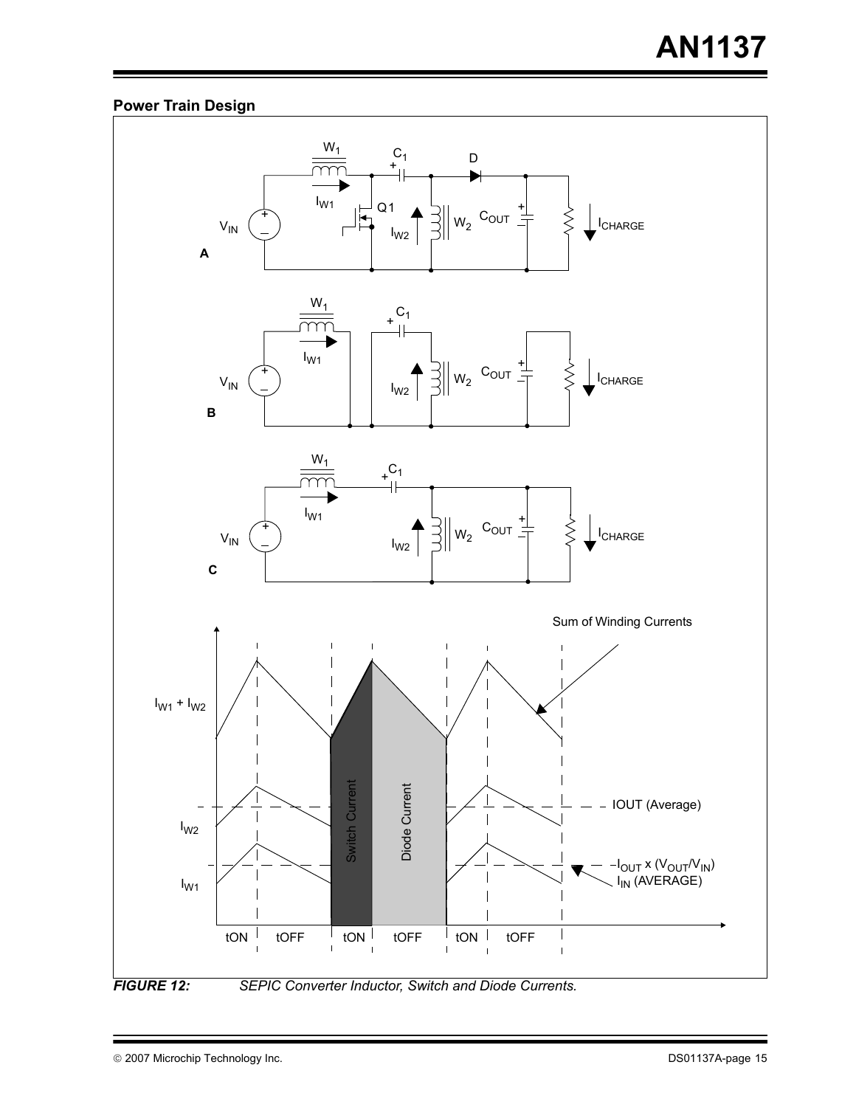### **Power Train Design**

<span id="page-14-0"></span>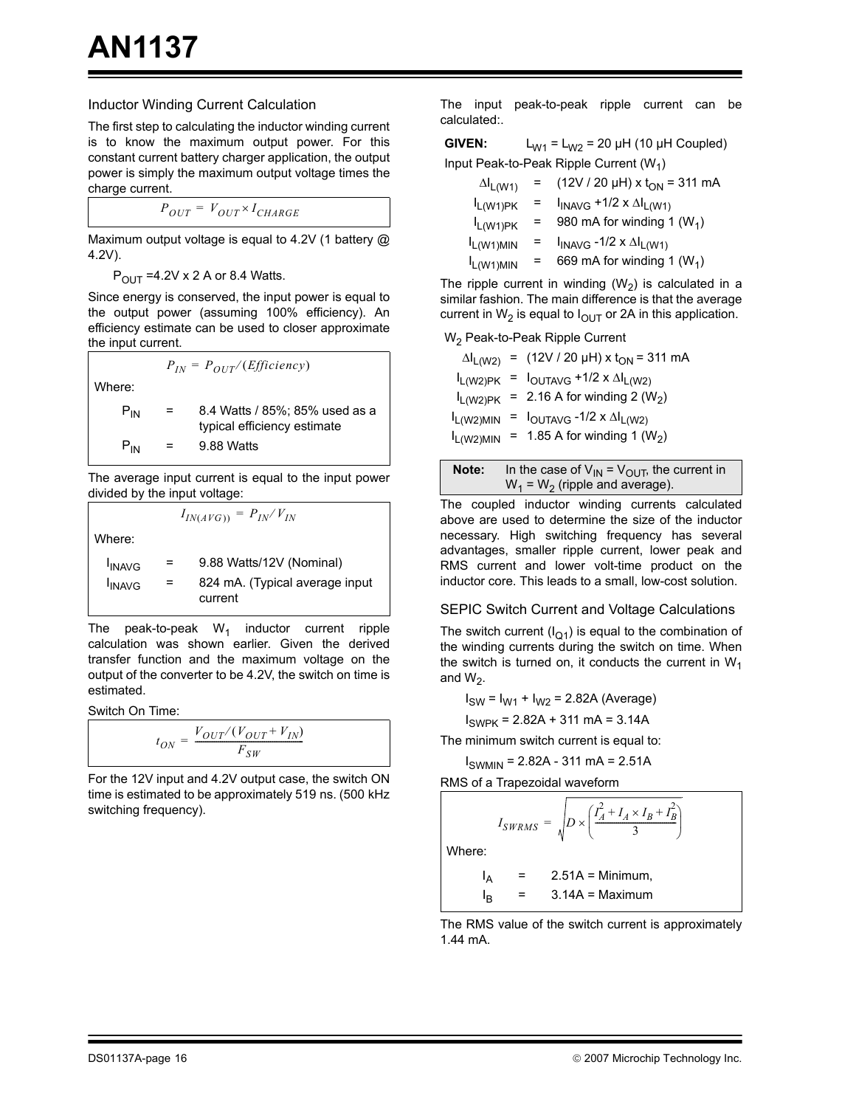#### Inductor Winding Current Calculation

The first step to calculating the inductor winding current is to know the maximum output power. For this constant current battery charger application, the output power is simply the maximum output voltage times the charge current.

$$
P_{OUT} = V_{OUT} \times I_{CHARGE}
$$

Maximum output voltage is equal to 4.2V (1 battery @ 4.2V).

 $P_{\text{OUT}}$  =4.2V x 2 A or 8.4 Watts.

Since energy is conserved, the input power is equal to the output power (assuming 100% efficiency). An efficiency estimate can be used to closer approximate the input current.

 $P_{IN} = P_{OUT}/(Efficiency)$ 

Where:

| $P_{IN}$ | $=$      | 8.4 Watts / 85%; 85% used as a<br>typical efficiency estimate |
|----------|----------|---------------------------------------------------------------|
| $P_{IN}$ | $\equiv$ | 9.88 Watts                                                    |

The average input current is equal to the input power divided by the input voltage:

 $I_{IN(AVG)} = P_{IN}/V_{IN}$ 

Where:

| <b>I</b> INAVG | $=$ | 9.88 Watts/12V (Nominal)                  |
|----------------|-----|-------------------------------------------|
| <b>INAVG</b>   | $=$ | 824 mA. (Typical average input<br>current |

The peak-to-peak  $W_1$  inductor current ripple calculation was shown earlier. Given the derived transfer function and the maximum voltage on the output of the converter to be 4.2V, the switch on time is estimated.

Switch On Time:

$$
t_{ON} = \frac{V_{OUT}/(V_{OUT} + V_{IN})}{F_{SW}}
$$

For the 12V input and 4.2V output case, the switch ON time is estimated to be approximately 519 ns. (500 kHz switching frequency).

The input peak-to-peak ripple current can be calculated:.

**GIVEN:**  $L_{W1} = L_{W2} = 20 \mu H (10 \mu H)$  Coupled) Input Peak-to-Peak Ripple Current  $(W_1)$ 

| $\Delta I_{L(W1)}$ |     | $(12V / 20 \mu H)$ x t <sub>ON</sub> = 311 mA |
|--------------------|-----|-----------------------------------------------|
| $I_{L(W1)PK}$      |     | $I_{INAVG}$ +1/2 x $\Delta I_{L(W1)}$         |
| $I_{L(W1)PK}$      | $=$ | 980 mA for winding 1 $(W_1)$                  |
| $I_{L(W1)MIN}$     | $=$ | $I_{INAVG}$ -1/2 x $\Delta I_{L(W1)}$         |
| $I_{L(W1)MIN}$     |     | 669 mA for winding 1 $(W_1)$                  |

The ripple current in winding  $(W_2)$  is calculated in a similar fashion. The main difference is that the average current in  $W_2$  is equal to  $I_{\text{OUT}}$  or 2A in this application.

W2 Peak-to-Peak Ripple Current

|                        | $\Delta I_{L(W2)}$ = (12V / 20 µH) x t <sub>ON</sub> = 311 mA |
|------------------------|---------------------------------------------------------------|
|                        | $I_{L(W2)PK} = I_{OUTAVG} + 1/2 \times \Delta I_{L(W2)}$      |
|                        | $I_{L(W2)PK}$ = 2.16 A for winding 2 (W <sub>2</sub> )        |
| L <sub>L</sub> (W2)MIN | = $I_{\text{OUTAVG}} - 1/2 \times \Delta I_{\text{L(W2)}}$    |
| L <sub>L</sub> (W2)MIN | = 1.85 A for winding 1 $(W2)$                                 |
|                        |                                                               |

| Note: | In the case of $V_{IN} = V_{OU}T$ , the current in |
|-------|----------------------------------------------------|
|       | $W_1$ = W <sub>2</sub> (ripple and average).       |

The coupled inductor winding currents calculated above are used to determine the size of the inductor necessary. High switching frequency has several advantages, smaller ripple current, lower peak and RMS current and lower volt-time product on the inductor core. This leads to a small, low-cost solution.

#### SEPIC Switch Current and Voltage Calculations

The switch current  $(I_{Q1})$  is equal to the combination of the winding currents during the switch on time. When the switch is turned on, it conducts the current in  $W_1$ and  $W_2$ .

 $I_{SW} = I_{W1} + I_{W2} = 2.82A$  (Average)

 $I_{SWPK}$  = 2.82A + 311 mA = 3.14A

The minimum switch current is equal to:

 $I_{SWMIN}$  = 2.82A - 311 mA = 2.51A

RMS of a Trapezoidal waveform

$$
I_{SWRMS} = \sqrt{D \times \left(\frac{I_A^2 + I_A \times I_B + I_B^2}{3}\right)}
$$
  
Where:  

$$
I_A = 2.51A = \text{Minimum},
$$

$$
I_B = 3.14A = \text{Maximum}
$$

The RMS value of the switch current is approximately 1.44 mA.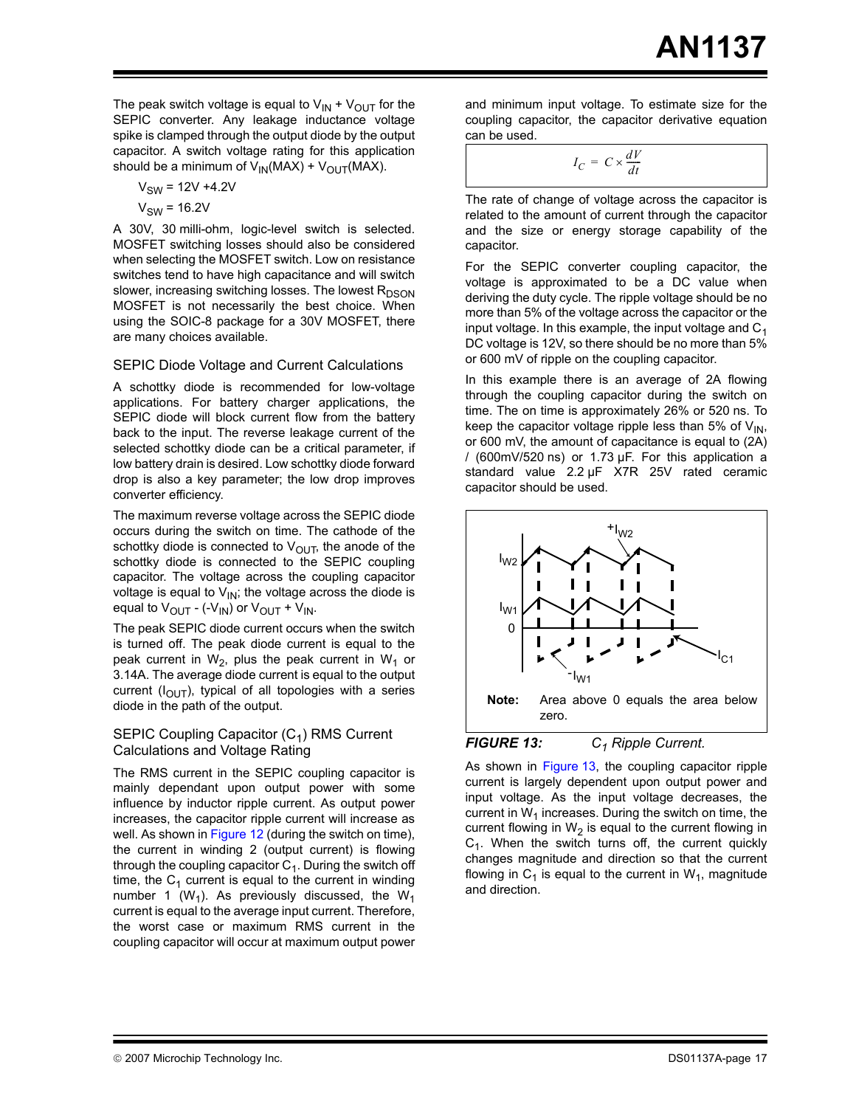The peak switch voltage is equal to  $V_{IN} + V_{OUT}$  for the SEPIC converter. Any leakage inductance voltage spike is clamped through the output diode by the output capacitor. A switch voltage rating for this application should be a minimum of  $V_{IN}(MAX) + V_{OUT}(MAX)$ .

$$
V_{SW} = 12V + 4.2V
$$

$$
V_{SW} = 16.2V
$$

A 30V, 30 milli-ohm, logic-level switch is selected. MOSFET switching losses should also be considered when selecting the MOSFET switch. Low on resistance switches tend to have high capacitance and will switch slower, increasing switching losses. The lowest  $R_{DSON}$ MOSFET is not necessarily the best choice. When using the SOIC-8 package for a 30V MOSFET, there are many choices available.

#### SEPIC Diode Voltage and Current Calculations

A schottky diode is recommended for low-voltage applications. For battery charger applications, the SEPIC diode will block current flow from the battery back to the input. The reverse leakage current of the selected schottky diode can be a critical parameter, if low battery drain is desired. Low schottky diode forward drop is also a key parameter; the low drop improves converter efficiency.

The maximum reverse voltage across the SEPIC diode occurs during the switch on time. The cathode of the schottky diode is connected to  $V_{\text{OUT}}$ , the anode of the schottky diode is connected to the SEPIC coupling capacitor. The voltage across the coupling capacitor voltage is equal to  $V_{IN}$ ; the voltage across the diode is equal to  $V_{\text{OUT}}$  - (- $V_{\text{IN}}$ ) or  $V_{\text{OUT}}$  +  $V_{\text{IN}}$ .

The peak SEPIC diode current occurs when the switch is turned off. The peak diode current is equal to the peak current in  $W_2$ , plus the peak current in  $W_1$  or 3.14A. The average diode current is equal to the output current ( $I<sub>OUT</sub>$ ), typical of all topologies with a series diode in the path of the output.

#### SEPIC Coupling Capacitor  $(C_1)$  RMS Current Calculations and Voltage Rating

The RMS current in the SEPIC coupling capacitor is mainly dependant upon output power with some influence by inductor ripple current. As output power increases, the capacitor ripple current will increase as well. As shown in [Figure 12](#page-14-0) (during the switch on time), the current in winding 2 (output current) is flowing through the coupling capacitor  $C_1$ . During the switch off time, the  $C_1$  current is equal to the current in winding number 1 ( $W_1$ ). As previously discussed, the  $W_1$ current is equal to the average input current. Therefore, the worst case or maximum RMS current in the coupling capacitor will occur at maximum output power

and minimum input voltage. To estimate size for the coupling capacitor, the capacitor derivative equation can be used.

 $I_C = C \times \frac{dV}{dt}$ 

The rate of change of voltage across the capacitor is related to the amount of current through the capacitor and the size or energy storage capability of the capacitor.

For the SEPIC converter coupling capacitor, the voltage is approximated to be a DC value when deriving the duty cycle. The ripple voltage should be no more than 5% of the voltage across the capacitor or the input voltage. In this example, the input voltage and  $C_1$ DC voltage is 12V, so there should be no more than 5% or 600 mV of ripple on the coupling capacitor.

In this example there is an average of 2A flowing through the coupling capacitor during the switch on time. The on time is approximately 26% or 520 ns. To keep the capacitor voltage ripple less than 5% of  $V_{IN}$ , or 600 mV, the amount of capacitance is equal to (2A) / (600mV/520 ns) or 1.73 µF. For this application a standard value 2.2 µF X7R 25V rated ceramic capacitor should be used.



<span id="page-16-0"></span>As shown in [Figure 13](#page-16-0), the coupling capacitor ripple current is largely dependent upon output power and input voltage. As the input voltage decreases, the current in  $W_1$  increases. During the switch on time, the current flowing in  $W_2$  is equal to the current flowing in  $C_1$ . When the switch turns off, the current quickly changes magnitude and direction so that the current flowing in  $C_1$  is equal to the current in  $W_1$ , magnitude and direction.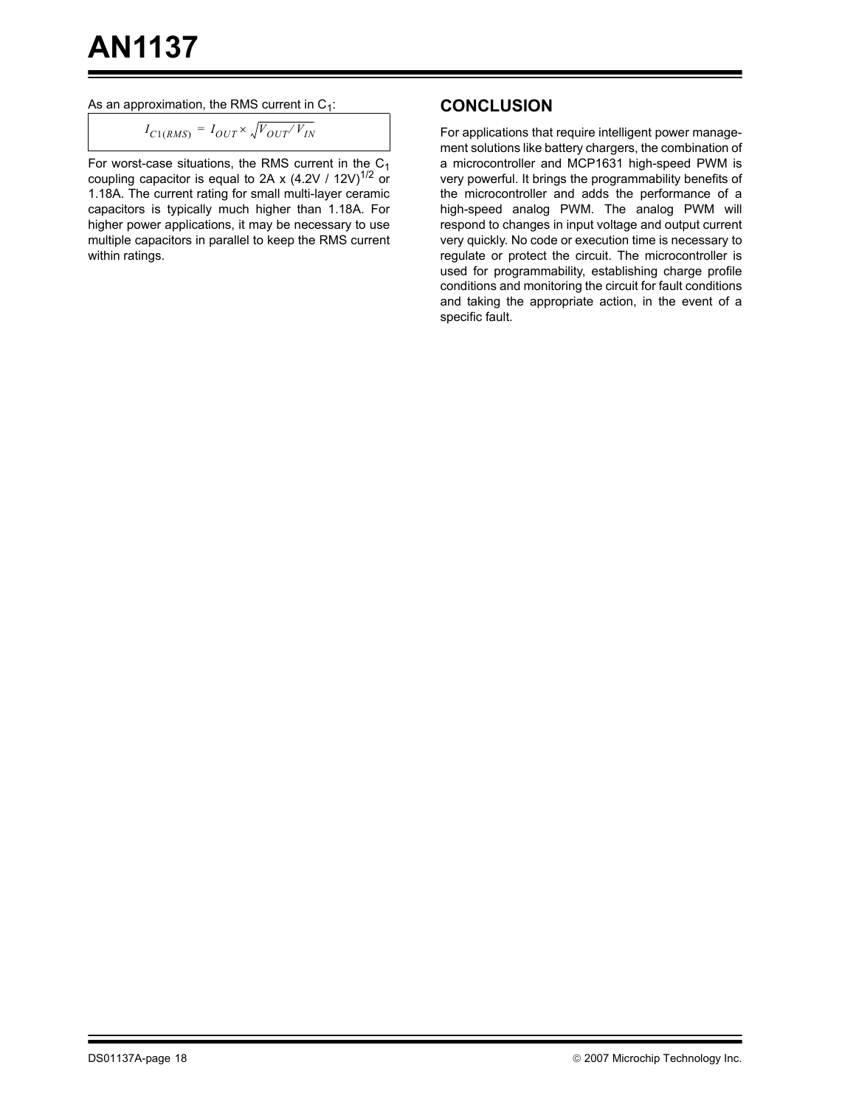As an approximation, the RMS current in  $C_1$ :

$$
I_{C1(RMS)} = I_{OUT} \times \sqrt{V_{OUT}/V_{IN}}
$$

For worst-case situations, the RMS current in the  $C_1$ coupling capacitor is equal to 2A x (4.2V / 12V)<sup>1/2</sup> or 1.18A. The current rating for small multi-layer ceramic capacitors is typically much higher than 1.18A. For higher power applications, it may be necessary to use multiple capacitors in parallel to keep the RMS current within ratings.

### **CONCLUSION**

For applications that require intelligent power management solutions like battery chargers, the combination of a microcontroller and MCP1631 high-speed PWM is very powerful. It brings the programmability benefits of the microcontroller and adds the performance of a high-speed analog PWM. The analog PWM will respond to changes in input voltage and output current very quickly. No code or execution time is necessary to regulate or protect the circuit. The microcontroller is used for programmability, establishing charge profile conditions and monitoring the circuit for fault conditions and taking the appropriate action, in the event of a specific fault.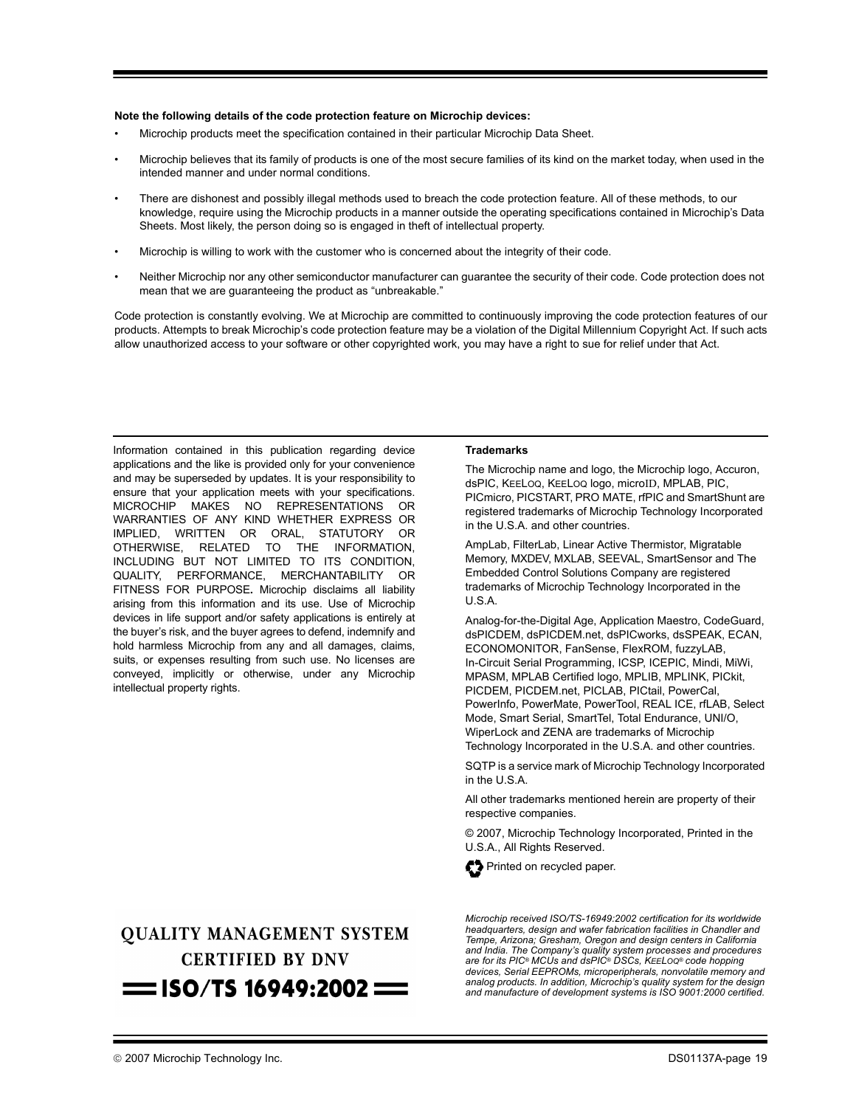#### **Note the following details of the code protection feature on Microchip devices:**

- Microchip products meet the specification contained in their particular Microchip Data Sheet.
- Microchip believes that its family of products is one of the most secure families of its kind on the market today, when used in the intended manner and under normal conditions.
- There are dishonest and possibly illegal methods used to breach the code protection feature. All of these methods, to our knowledge, require using the Microchip products in a manner outside the operating specifications contained in Microchip's Data Sheets. Most likely, the person doing so is engaged in theft of intellectual property.
- Microchip is willing to work with the customer who is concerned about the integrity of their code.
- Neither Microchip nor any other semiconductor manufacturer can guarantee the security of their code. Code protection does not mean that we are guaranteeing the product as "unbreakable."

Code protection is constantly evolving. We at Microchip are committed to continuously improving the code protection features of our products. Attempts to break Microchip's code protection feature may be a violation of the Digital Millennium Copyright Act. If such acts allow unauthorized access to your software or other copyrighted work, you may have a right to sue for relief under that Act.

Information contained in this publication regarding device applications and the like is provided only for your convenience and may be superseded by updates. It is your responsibility to ensure that your application meets with your specifications. MICROCHIP MAKES NO REPRESENTATIONS OR WARRANTIES OF ANY KIND WHETHER EXPRESS OR IMPLIED, WRITTEN OR ORAL, STATUTORY OR OTHERWISE, RELATED TO THE INFORMATION, INCLUDING BUT NOT LIMITED TO ITS CONDITION, QUALITY, PERFORMANCE, MERCHANTABILITY OR FITNESS FOR PURPOSE**.** Microchip disclaims all liability arising from this information and its use. Use of Microchip devices in life support and/or safety applications is entirely at the buyer's risk, and the buyer agrees to defend, indemnify and hold harmless Microchip from any and all damages, claims, suits, or expenses resulting from such use. No licenses are conveyed, implicitly or otherwise, under any Microchip intellectual property rights.

# **OUALITY MANAGEMENT SYSTEM CERTIFIED BY DNV**  $=$  ISO/TS 16949:2002  $=$

#### **Trademarks**

The Microchip name and logo, the Microchip logo, Accuron, dsPIC, KEELOQ, KEELOQ logo, microID, MPLAB, PIC, PICmicro, PICSTART, PRO MATE, rfPIC and SmartShunt are registered trademarks of Microchip Technology Incorporated in the U.S.A. and other countries.

AmpLab, FilterLab, Linear Active Thermistor, Migratable Memory, MXDEV, MXLAB, SEEVAL, SmartSensor and The Embedded Control Solutions Company are registered trademarks of Microchip Technology Incorporated in the U.S.A.

Analog-for-the-Digital Age, Application Maestro, CodeGuard, dsPICDEM, dsPICDEM.net, dsPICworks, dsSPEAK, ECAN, ECONOMONITOR, FanSense, FlexROM, fuzzyLAB, In-Circuit Serial Programming, ICSP, ICEPIC, Mindi, MiWi, MPASM, MPLAB Certified logo, MPLIB, MPLINK, PICkit, PICDEM, PICDEM.net, PICLAB, PICtail, PowerCal, PowerInfo, PowerMate, PowerTool, REAL ICE, rfLAB, Select Mode, Smart Serial, SmartTel, Total Endurance, UNI/O, WiperLock and ZENA are trademarks of Microchip Technology Incorporated in the U.S.A. and other countries.

SQTP is a service mark of Microchip Technology Incorporated

in the U.S.A.

All other trademarks mentioned herein are property of their respective companies.

© 2007, Microchip Technology Incorporated, Printed in the U.S.A., All Rights Reserved.



*Microchip received ISO/TS-16949:2002 certification for its worldwide headquarters, design and wafer fabrication facilities in Chandler and Tempe, Arizona; Gresham, Oregon and design centers in California and India. The Company's quality system processes and procedures are for its PIC® MCUs and dsPIC® DSCs, KEELOQ® code hopping devices, Serial EEPROMs, microperipherals, nonvolatile memory and analog products. In addition, Microchip's quality system for the design and manufacture of development systems is ISO 9001:2000 certified.*